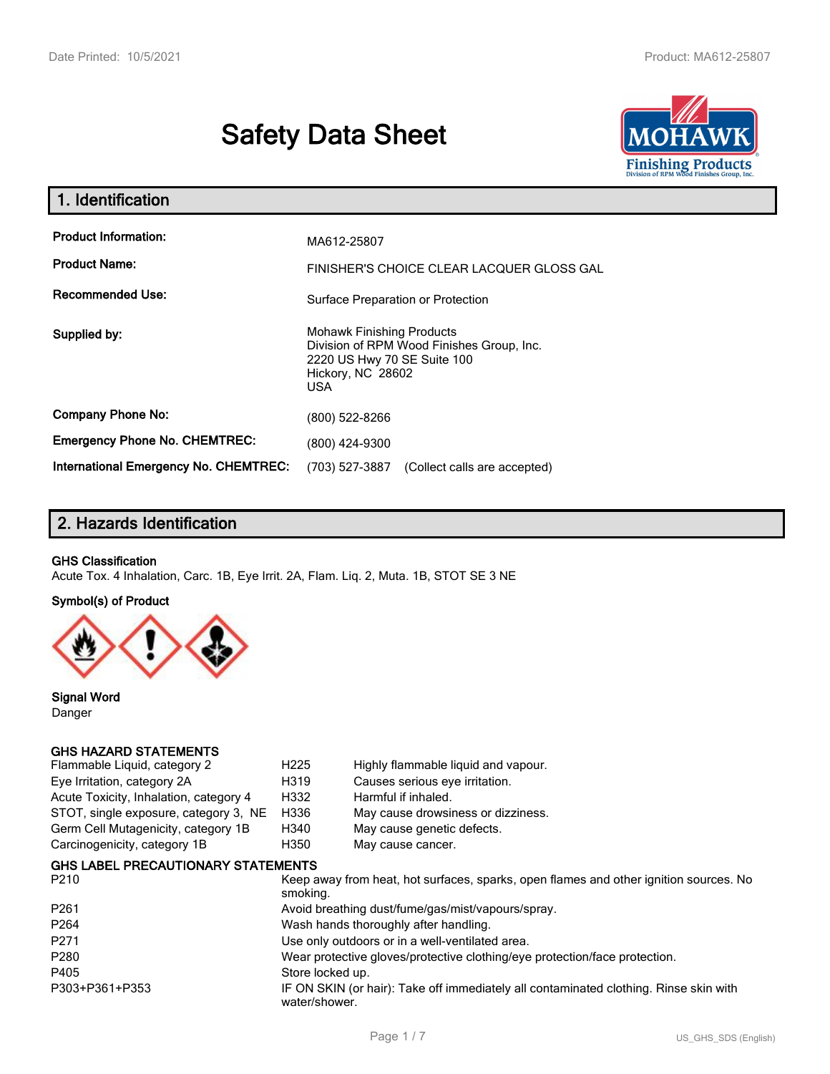# **Safety Data Sheet**



| 1. Identification                                                              |                                                                                                                                          |  |  |  |
|--------------------------------------------------------------------------------|------------------------------------------------------------------------------------------------------------------------------------------|--|--|--|
| <b>Product Information:</b><br><b>Product Name:</b><br><b>Recommended Use:</b> | MA612-25807<br>FINISHER'S CHOICE CLEAR LACQUER GLOSS GAL                                                                                 |  |  |  |
|                                                                                | Surface Preparation or Protection                                                                                                        |  |  |  |
| Supplied by:                                                                   | <b>Mohawk Finishing Products</b><br>Division of RPM Wood Finishes Group, Inc.<br>2220 US Hwy 70 SE Suite 100<br>Hickory, NC 28602<br>USA |  |  |  |
| <b>Company Phone No:</b>                                                       | (800) 522-8266                                                                                                                           |  |  |  |
| <b>Emergency Phone No. CHEMTREC:</b>                                           | (800) 424-9300                                                                                                                           |  |  |  |
| <b>International Emergency No. CHEMTREC:</b>                                   | (703) 527-3887<br>(Collect calls are accepted)                                                                                           |  |  |  |

# **2. Hazards Identification**

#### **GHS Classification**

Acute Tox. 4 Inhalation, Carc. 1B, Eye Irrit. 2A, Flam. Liq. 2, Muta. 1B, STOT SE 3 NE

#### **Symbol(s) of Product**



**Signal Word** Danger

#### **GHS HAZARD STATEMENTS**

| Flammable Liquid, category 2           | H <sub>225</sub> | Highly flammable liquid and vapour. |
|----------------------------------------|------------------|-------------------------------------|
| Eye Irritation, category 2A            | H319             | Causes serious eye irritation.      |
| Acute Toxicity, Inhalation, category 4 | H332             | Harmful if inhaled.                 |
| STOT, single exposure, category 3, NE  | H336             | May cause drowsiness or dizziness.  |
| Germ Cell Mutagenicity, category 1B    | H340             | May cause genetic defects.          |
| Carcinogenicity, category 1B           | H350             | May cause cancer.                   |
|                                        |                  |                                     |

#### **GHS LABEL PRECAUTIONARY STATEMENTS**

| P <sub>210</sub> | Keep away from heat, hot surfaces, sparks, open flames and other ignition sources. No<br>smoking.      |
|------------------|--------------------------------------------------------------------------------------------------------|
| P <sub>261</sub> | Avoid breathing dust/fume/gas/mist/vapours/spray.                                                      |
| P <sub>264</sub> | Wash hands thoroughly after handling.                                                                  |
| P <sub>271</sub> | Use only outdoors or in a well-ventilated area.                                                        |
| P <sub>280</sub> | Wear protective gloves/protective clothing/eye protection/face protection.                             |
| P405             | Store locked up.                                                                                       |
| P303+P361+P353   | IF ON SKIN (or hair): Take off immediately all contaminated clothing. Rinse skin with<br>water/shower. |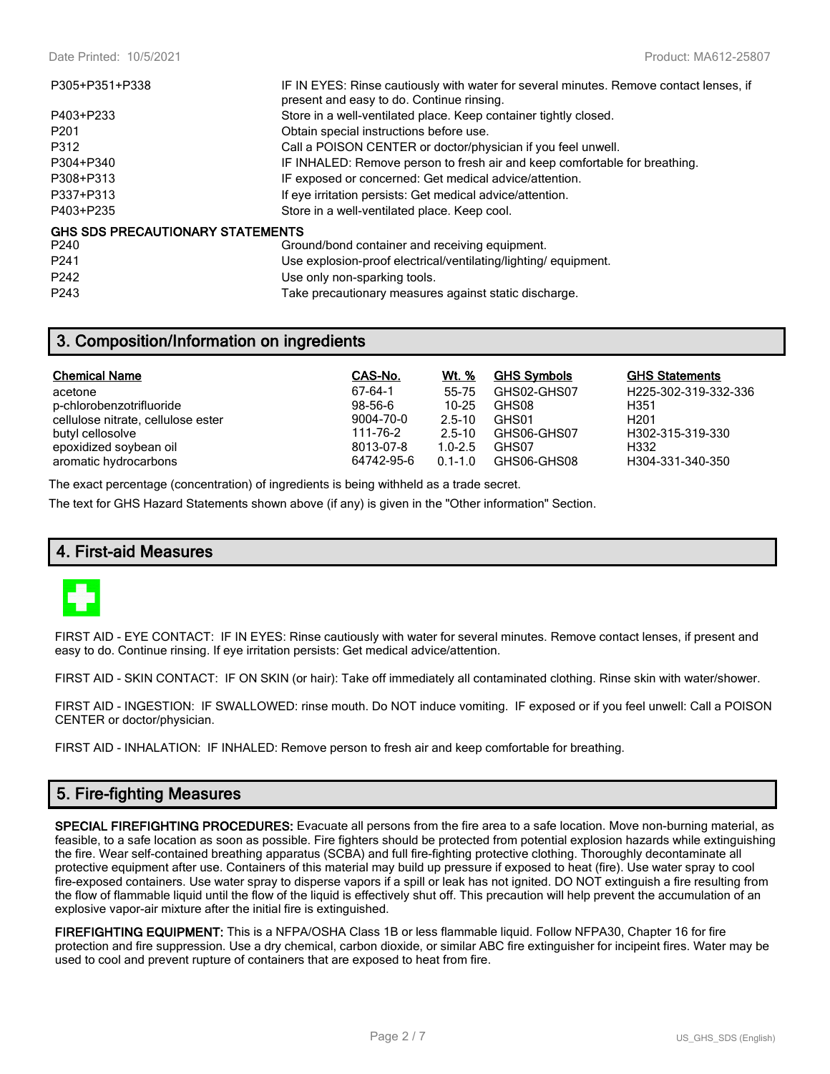| P305+P351+P338                   | IF IN EYES: Rinse cautiously with water for several minutes. Remove contact lenses, if<br>present and easy to do. Continue rinsing. |
|----------------------------------|-------------------------------------------------------------------------------------------------------------------------------------|
| P403+P233                        | Store in a well-ventilated place. Keep container tightly closed.                                                                    |
| P <sub>201</sub>                 | Obtain special instructions before use.                                                                                             |
| P312                             | Call a POISON CENTER or doctor/physician if you feel unwell.                                                                        |
| P304+P340                        | IF INHALED: Remove person to fresh air and keep comfortable for breathing.                                                          |
| P308+P313                        | IF exposed or concerned: Get medical advice/attention.                                                                              |
| P337+P313                        | If eye irritation persists: Get medical advice/attention.                                                                           |
| P403+P235                        | Store in a well-ventilated place. Keep cool.                                                                                        |
| GHS SDS PRECAUTIONARY STATEMENTS |                                                                                                                                     |
| P240                             | Ground/bond container and receiving equipment.                                                                                      |
| P <sub>241</sub>                 | Use explosion-proof electrical/ventilating/lighting/equipment.                                                                      |
| P <sub>242</sub>                 | Use only non-sparking tools.                                                                                                        |

P243 Take precautionary measures against static discharge.

## **3. Composition/Information on ingredients**

| <b>Chemical Name</b>               | CAS-No.    | <u>Wt. %</u> | <b>GHS Symbols</b> | <b>GHS Statements</b> |
|------------------------------------|------------|--------------|--------------------|-----------------------|
| acetone                            | 67-64-1    | 55-75        | GHS02-GHS07        | H225-302-319-332-336  |
| p-chlorobenzotrifluoride           | $98-56-6$  | $10 - 25$    | GHS08              | H351                  |
| cellulose nitrate, cellulose ester | 9004-70-0  | $2.5 - 10$   | GHS01              | H <sub>201</sub>      |
| butyl cellosolve                   | 111-76-2   | $2.5 - 10$   | GHS06-GHS07        | H302-315-319-330      |
| epoxidized soybean oil             | 8013-07-8  | $1.0 - 2.5$  | GHS07              | H332                  |
| aromatic hydrocarbons              | 64742-95-6 | $0.1 - 1.0$  | GHS06-GHS08        | H304-331-340-350      |

The exact percentage (concentration) of ingredients is being withheld as a trade secret.

The text for GHS Hazard Statements shown above (if any) is given in the "Other information" Section.

#### **4. First-aid Measures**



FIRST AID - EYE CONTACT: IF IN EYES: Rinse cautiously with water for several minutes. Remove contact lenses, if present and easy to do. Continue rinsing. If eye irritation persists: Get medical advice/attention.

FIRST AID - SKIN CONTACT: IF ON SKIN (or hair): Take off immediately all contaminated clothing. Rinse skin with water/shower.

FIRST AID - INGESTION: IF SWALLOWED: rinse mouth. Do NOT induce vomiting. IF exposed or if you feel unwell: Call a POISON CENTER or doctor/physician.

FIRST AID - INHALATION: IF INHALED: Remove person to fresh air and keep comfortable for breathing.

## **5. Fire-fighting Measures**

**SPECIAL FIREFIGHTING PROCEDURES:** Evacuate all persons from the fire area to a safe location. Move non-burning material, as feasible, to a safe location as soon as possible. Fire fighters should be protected from potential explosion hazards while extinguishing the fire. Wear self-contained breathing apparatus (SCBA) and full fire-fighting protective clothing. Thoroughly decontaminate all protective equipment after use. Containers of this material may build up pressure if exposed to heat (fire). Use water spray to cool fire-exposed containers. Use water spray to disperse vapors if a spill or leak has not ignited. DO NOT extinguish a fire resulting from the flow of flammable liquid until the flow of the liquid is effectively shut off. This precaution will help prevent the accumulation of an explosive vapor-air mixture after the initial fire is extinguished.

**FIREFIGHTING EQUIPMENT:** This is a NFPA/OSHA Class 1B or less flammable liquid. Follow NFPA30, Chapter 16 for fire protection and fire suppression. Use a dry chemical, carbon dioxide, or similar ABC fire extinguisher for incipeint fires. Water may be used to cool and prevent rupture of containers that are exposed to heat from fire.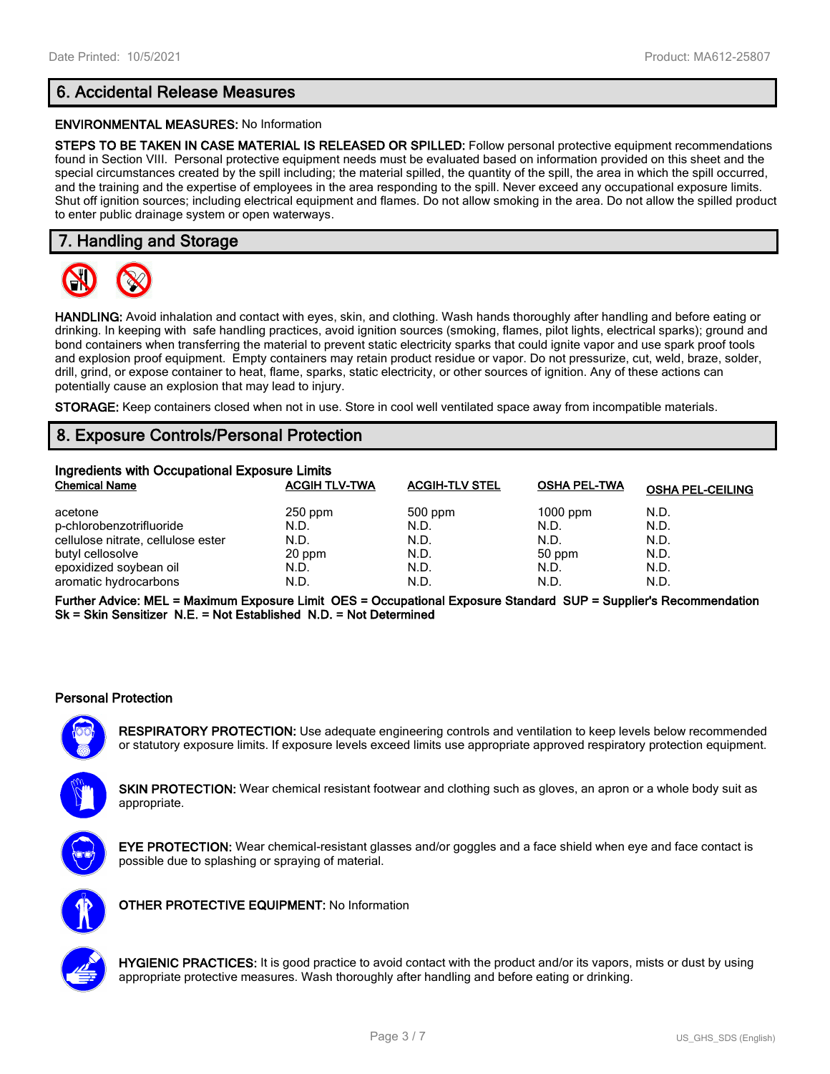# **6. Accidental Release Measures**

#### **ENVIRONMENTAL MEASURES:** No Information

**STEPS TO BE TAKEN IN CASE MATERIAL IS RELEASED OR SPILLED:** Follow personal protective equipment recommendations found in Section VIII. Personal protective equipment needs must be evaluated based on information provided on this sheet and the special circumstances created by the spill including; the material spilled, the quantity of the spill, the area in which the spill occurred, and the training and the expertise of employees in the area responding to the spill. Never exceed any occupational exposure limits. Shut off ignition sources; including electrical equipment and flames. Do not allow smoking in the area. Do not allow the spilled product to enter public drainage system or open waterways.

# **7. Handling and Storage**



**HANDLING:** Avoid inhalation and contact with eyes, skin, and clothing. Wash hands thoroughly after handling and before eating or drinking. In keeping with safe handling practices, avoid ignition sources (smoking, flames, pilot lights, electrical sparks); ground and bond containers when transferring the material to prevent static electricity sparks that could ignite vapor and use spark proof tools and explosion proof equipment. Empty containers may retain product residue or vapor. Do not pressurize, cut, weld, braze, solder, drill, grind, or expose container to heat, flame, sparks, static electricity, or other sources of ignition. Any of these actions can potentially cause an explosion that may lead to injury.

**STORAGE:** Keep containers closed when not in use. Store in cool well ventilated space away from incompatible materials.

# **8. Exposure Controls/Personal Protection**

| Ingredients with Occupational Exposure Limits |                      |                       |                     |                         |  |
|-----------------------------------------------|----------------------|-----------------------|---------------------|-------------------------|--|
| <b>Chemical Name</b>                          | <b>ACGIH TLV-TWA</b> | <b>ACGIH-TLV STEL</b> | <b>OSHA PEL-TWA</b> | <b>OSHA PEL-CEILING</b> |  |
| acetone                                       | $250$ ppm            | 500 ppm               | $1000$ ppm          | N.D.                    |  |
| p-chlorobenzotrifluoride                      | N.D.                 | N.D.                  | N.D.                | N.D.                    |  |
| cellulose nitrate, cellulose ester            | N.D.                 | N.D.                  | N.D.                | N.D.                    |  |
| butyl cellosolve                              | 20 ppm               | N.D.                  | 50 ppm              | N.D.                    |  |
| epoxidized soybean oil                        | N.D.                 | N.D.                  | N.D.                | N.D.                    |  |
| aromatic hydrocarbons                         | N.D.                 | N.D.                  | N.D.                | N.D.                    |  |

**Further Advice: MEL = Maximum Exposure Limit OES = Occupational Exposure Standard SUP = Supplier's Recommendation Sk = Skin Sensitizer N.E. = Not Established N.D. = Not Determined**

#### **Personal Protection**

**RESPIRATORY PROTECTION:** Use adequate engineering controls and ventilation to keep levels below recommended or statutory exposure limits. If exposure levels exceed limits use appropriate approved respiratory protection equipment.

**SKIN PROTECTION:** Wear chemical resistant footwear and clothing such as gloves, an apron or a whole body suit as appropriate.



**EYE PROTECTION:** Wear chemical-resistant glasses and/or goggles and a face shield when eye and face contact is possible due to splashing or spraying of material.



**OTHER PROTECTIVE EQUIPMENT:** No Information



**HYGIENIC PRACTICES:** It is good practice to avoid contact with the product and/or its vapors, mists or dust by using appropriate protective measures. Wash thoroughly after handling and before eating or drinking.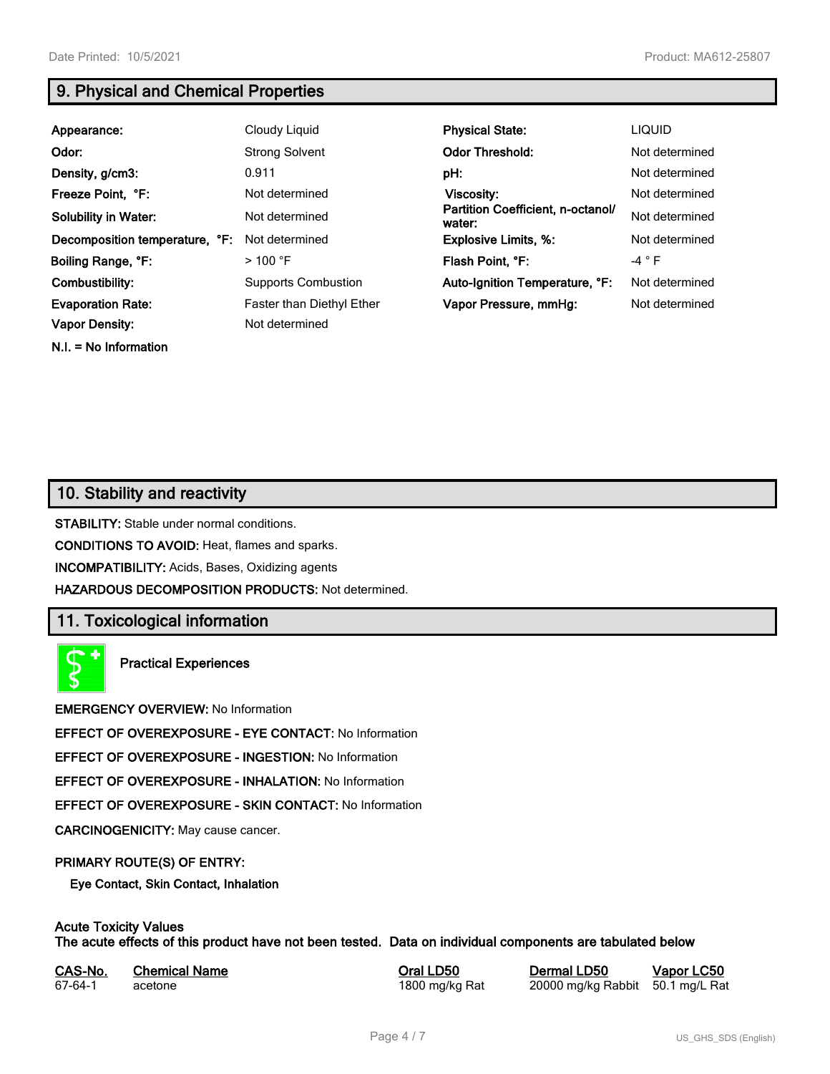**N.I. = No Information**

# **9. Physical and Chemical Properties**

| Appearance:                    | Cloudy Liquid                    | <b>Physical State:</b>                      | <b>LIQUID</b>  |
|--------------------------------|----------------------------------|---------------------------------------------|----------------|
| Odor:                          | <b>Strong Solvent</b>            | <b>Odor Threshold:</b>                      | Not determined |
| Density, g/cm3:                | 0.911                            | pH:                                         | Not determined |
| Freeze Point, °F:              | Not determined                   | Viscosity:                                  | Not determined |
| <b>Solubility in Water:</b>    | Not determined                   | Partition Coefficient, n-octanol/<br>water: | Not determined |
| Decomposition temperature, °F: | Not determined                   | <b>Explosive Limits, %:</b>                 | Not determined |
| Boiling Range, °F:             | $>$ 100 °F                       | Flash Point, °F:                            | $-4$ $\circ$ F |
| Combustibility:                | <b>Supports Combustion</b>       | Auto-Ignition Temperature, °F:              | Not determined |
| <b>Evaporation Rate:</b>       | <b>Faster than Diethyl Ether</b> | Vapor Pressure, mmHg:                       | Not determined |
| <b>Vapor Density:</b>          | Not determined                   |                                             |                |

# **10. Stability and reactivity**

**STABILITY:** Stable under normal conditions.

**CONDITIONS TO AVOID:** Heat, flames and sparks.

**INCOMPATIBILITY:** Acids, Bases, Oxidizing agents

**HAZARDOUS DECOMPOSITION PRODUCTS:** Not determined.

# **11. Toxicological information**

**Practical Experiences**

**EMERGENCY OVERVIEW:** No Information

**EFFECT OF OVEREXPOSURE - EYE CONTACT:** No Information

**EFFECT OF OVEREXPOSURE - INGESTION:** No Information

**EFFECT OF OVEREXPOSURE - INHALATION:** No Information

**EFFECT OF OVEREXPOSURE - SKIN CONTACT:** No Information

**CARCINOGENICITY:** May cause cancer.

#### **PRIMARY ROUTE(S) OF ENTRY:**

**Eye Contact, Skin Contact, Inhalation**

## **Acute Toxicity Values**

**The acute effects of this product have not been tested. Data on individual components are tabulated below**

| CAS-No. | <b>Chemical Name</b> |  |
|---------|----------------------|--|
| 67-64-1 | acetone              |  |

**CASA-No. 25 Correl CONO. In the CAS-No. 10 CONO. In the CAS-No. 10 CONO. In the CAS-No. 10 CONO. In the CAS-No. 10 CONO. 10 CONO. 10 CONO. 10 CONO. 10 CONO. 10 CONO. 10 CONO. 10 CONO. 10 CONO. 10 CONO. 10 CONO. 10 CONO. 1** 

800 mg/kg Rat 20000 mg/kg Rabbit 50.1 mg/L Rat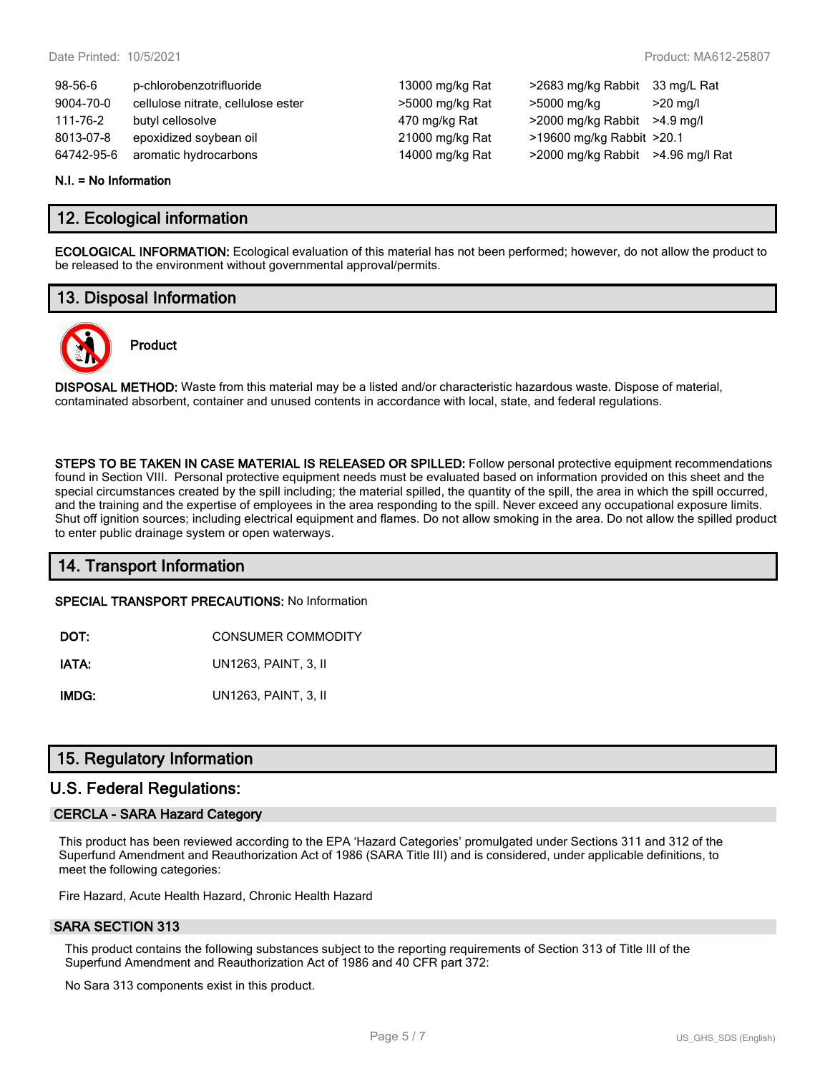| $98-56-6$  | p-chlorobenzotrifluoride           | 13000 mg/kg Rat | >2683 mg/kg Rabbit                | 33 mg/L Rat |
|------------|------------------------------------|-----------------|-----------------------------------|-------------|
| 9004-70-0  | cellulose nitrate, cellulose ester | >5000 mg/kg Rat | >5000 mg/kg                       | $>$ 20 ma/l |
| 111-76-2   | butyl cellosolve                   | 470 mg/kg Rat   | >2000 mg/kg Rabbit                | >4.9 ma/l   |
| 8013-07-8  | epoxidized soybean oil             | 21000 mg/kg Rat | >19600 mg/kg Rabbit >20.1         |             |
| 64742-95-6 | aromatic hydrocarbons              | 14000 mg/kg Rat | >2000 mg/kg Rabbit >4.96 mg/l Rat |             |

#### **N.I. = No Information**

## **12. Ecological information**

**ECOLOGICAL INFORMATION:** Ecological evaluation of this material has not been performed; however, do not allow the product to be released to the environment without governmental approval/permits.

# **13. Disposal Information**



# **Product**

**DISPOSAL METHOD:** Waste from this material may be a listed and/or characteristic hazardous waste. Dispose of material, contaminated absorbent, container and unused contents in accordance with local, state, and federal regulations.

**STEPS TO BE TAKEN IN CASE MATERIAL IS RELEASED OR SPILLED:** Follow personal protective equipment recommendations found in Section VIII. Personal protective equipment needs must be evaluated based on information provided on this sheet and the special circumstances created by the spill including; the material spilled, the quantity of the spill, the area in which the spill occurred, and the training and the expertise of employees in the area responding to the spill. Never exceed any occupational exposure limits. Shut off ignition sources; including electrical equipment and flames. Do not allow smoking in the area. Do not allow the spilled product to enter public drainage system or open waterways.

## **14. Transport Information**

**SPECIAL TRANSPORT PRECAUTIONS:** No Information

**DOT:** CONSUMER COMMODITY

**IATA:** UN1263, PAINT, 3, II

**IMDG:** UN1263, PAINT, 3, II

## **15. Regulatory Information**

#### **U.S. Federal Regulations:**

#### **CERCLA - SARA Hazard Category**

This product has been reviewed according to the EPA 'Hazard Categories' promulgated under Sections 311 and 312 of the Superfund Amendment and Reauthorization Act of 1986 (SARA Title III) and is considered, under applicable definitions, to meet the following categories:

Fire Hazard, Acute Health Hazard, Chronic Health Hazard

#### **SARA SECTION 313**

This product contains the following substances subject to the reporting requirements of Section 313 of Title III of the Superfund Amendment and Reauthorization Act of 1986 and 40 CFR part 372:

No Sara 313 components exist in this product.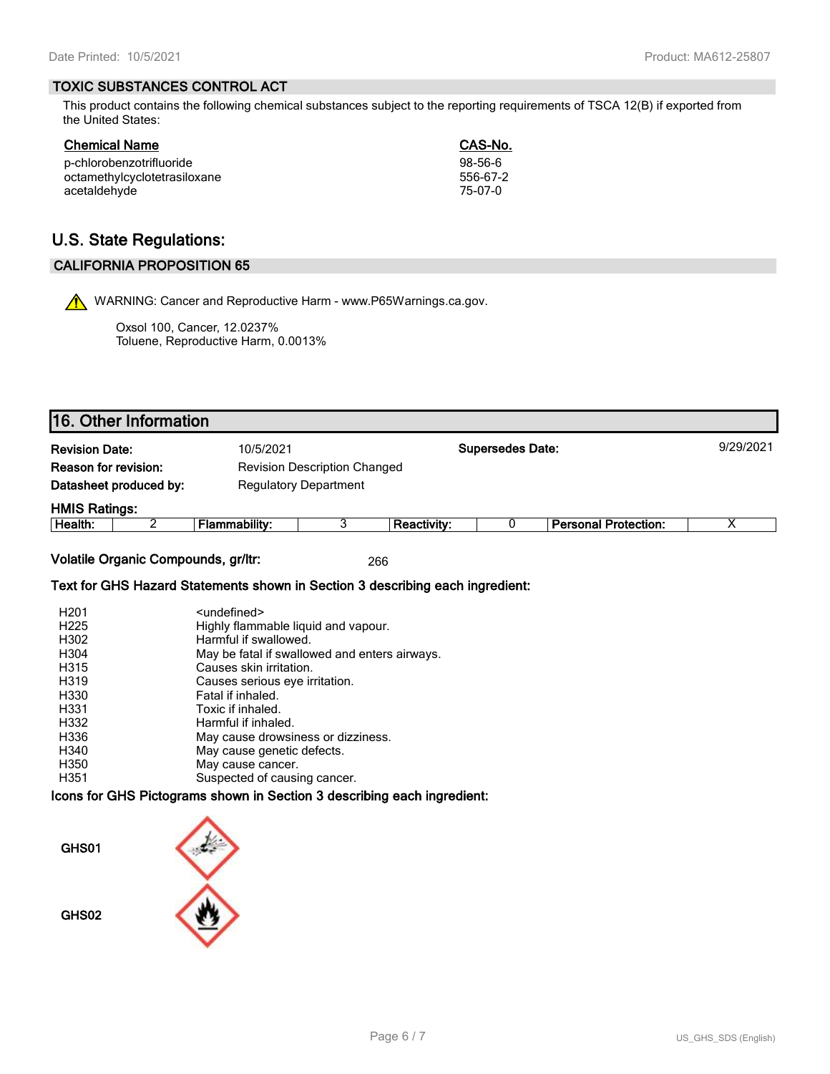#### **TOXIC SUBSTANCES CONTROL ACT**

This product contains the following chemical substances subject to the reporting requirements of TSCA 12(B) if exported from the United States:

**Chemical Name CAS-No.**

| -----    |
|----------|
| 98-56-6  |
| 556-67-2 |
| 75-07-0  |
|          |

# **U.S. State Regulations:**

#### **CALIFORNIA PROPOSITION 65**

WARNING: Cancer and Reproductive Harm - www.P65Warnings.ca.gov.

Oxsol 100, Cancer, 12.0237% Toluene, Reproductive Harm, 0.0013%

| <b>Revision Date:</b> |                        | 10/5/2021                           |                    | <b>Supersedes Date:</b> |                             | 9/29/2021 |
|-----------------------|------------------------|-------------------------------------|--------------------|-------------------------|-----------------------------|-----------|
| Reason for revision:  |                        | <b>Revision Description Changed</b> |                    |                         |                             |           |
|                       | Datasheet produced by: | <b>Regulatory Department</b>        |                    |                         |                             |           |
| <b>HMIS Ratings:</b>  |                        |                                     |                    |                         |                             |           |
| Health:               |                        | Flammability:                       | <b>Reactivity:</b> |                         | <b>Personal Protection:</b> | х         |

#### **Text for GHS Hazard Statements shown in Section 3 describing each ingredient:**

| H <sub>201</sub> | <undefined></undefined>                       |
|------------------|-----------------------------------------------|
| H <sub>225</sub> | Highly flammable liquid and vapour.           |
| H302             | Harmful if swallowed.                         |
| H304             | May be fatal if swallowed and enters airways. |
| H315             | Causes skin irritation.                       |
| H319             | Causes serious eye irritation.                |
| H330             | Fatal if inhaled.                             |
| H331             | Toxic if inhaled.                             |
| H332             | Harmful if inhaled.                           |
| H336             | May cause drowsiness or dizziness.            |
| H340             | May cause genetic defects.                    |
| H350             | May cause cancer.                             |
| H351             | Suspected of causing cancer.                  |

#### **Icons for GHS Pictograms shown in Section 3 describing each ingredient:**